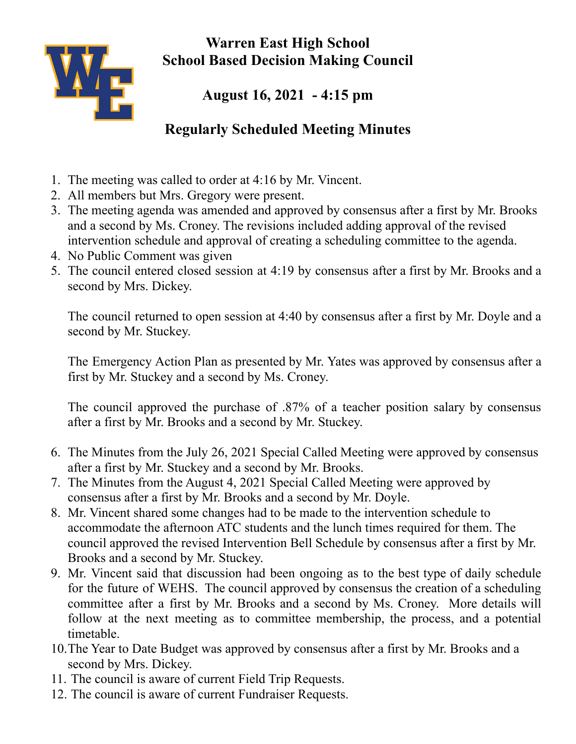

**Warren East High School School Based Decision Making Council**

## **August 16, 2021 - 4:15 pm**

## **Regularly Scheduled Meeting Minutes**

- 1. The meeting was called to order at 4:16 by Mr. Vincent.
- 2. All members but Mrs. Gregory were present.
- 3. The meeting agenda was amended and approved by consensus after a first by Mr. Brooks and a second by Ms. Croney. The revisions included adding approval of the revised intervention schedule and approval of creating a scheduling committee to the agenda.
- 4. No Public Comment was given
- 5. The council entered closed session at 4:19 by consensus after a first by Mr. Brooks and a second by Mrs. Dickey.

The council returned to open session at 4:40 by consensus after a first by Mr. Doyle and a second by Mr. Stuckey.

The Emergency Action Plan as presented by Mr. Yates was approved by consensus after a first by Mr. Stuckey and a second by Ms. Croney.

The council approved the purchase of .87% of a teacher position salary by consensus after a first by Mr. Brooks and a second by Mr. Stuckey.

- 6. The Minutes from the July 26, 2021 Special Called Meeting were approved by consensus after a first by Mr. Stuckey and a second by Mr. Brooks.
- 7. The Minutes from the August 4, 2021 Special Called Meeting were approved by consensus after a first by Mr. Brooks and a second by Mr. Doyle.
- 8. Mr. Vincent shared some changes had to be made to the intervention schedule to accommodate the afternoon ATC students and the lunch times required for them. The council approved the revised Intervention Bell Schedule by consensus after a first by Mr. Brooks and a second by Mr. Stuckey.
- 9. Mr. Vincent said that discussion had been ongoing as to the best type of daily schedule for the future of WEHS. The council approved by consensus the creation of a scheduling committee after a first by Mr. Brooks and a second by Ms. Croney. More details will follow at the next meeting as to committee membership, the process, and a potential timetable.
- 10.The Year to Date Budget was approved by consensus after a first by Mr. Brooks and a second by Mrs. Dickey.
- 11. The council is aware of current Field Trip Requests.
- 12. The council is aware of current Fundraiser Requests.